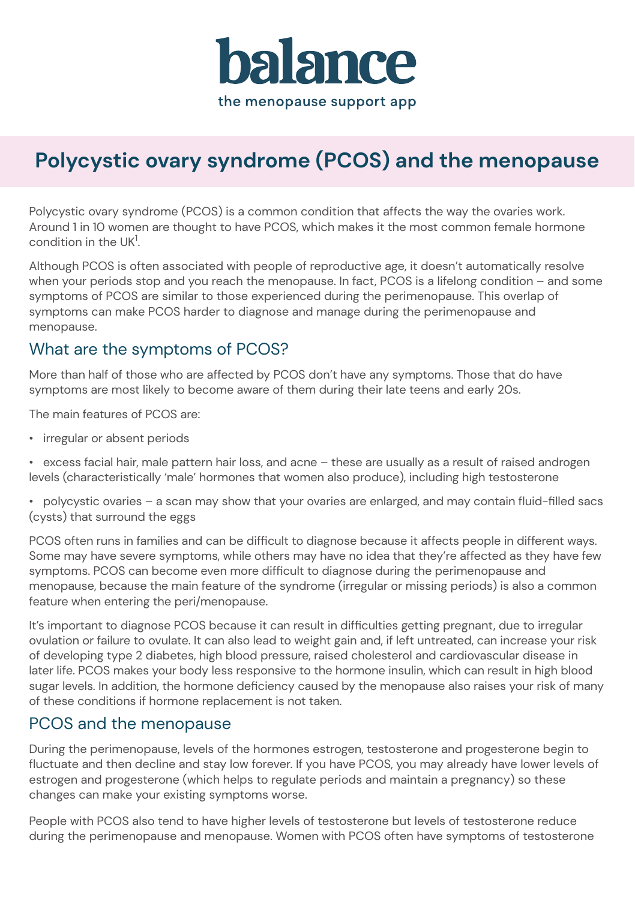

# **Polycystic ovary syndrome (PCOS) and the menopause**

Polycystic ovary syndrome (PCOS) is a common condition that affects the way the ovaries work. Around 1 in 10 women are thought to have PCOS, which makes it the most common female hormone condition in the UK<sup>1</sup>.

Although PCOS is often associated with people of reproductive age, it doesn't automatically resolve when your periods stop and you reach the menopause. In fact, PCOS is a lifelong condition – and some symptoms of PCOS are similar to those experienced during the perimenopause. This overlap of symptoms can make PCOS harder to diagnose and manage during the perimenopause and menopause.

### What are the symptoms of PCOS?

More than half of those who are affected by PCOS don't have any symptoms. Those that do have symptoms are most likely to become aware of them during their late teens and early 20s.

The main features of PCOS are:

- irregular or absent periods
- excess facial hair, male pattern hair loss, and acne these are usually as a result of raised androgen levels (characteristically 'male' hormones that women also produce), including high testosterone
- polycystic ovaries a scan may show that your ovaries are enlarged, and may contain fluid-filled sacs (cysts) that surround the eggs

PCOS often runs in families and can be difficult to diagnose because it affects people in different ways. Some may have severe symptoms, while others may have no idea that they're affected as they have few symptoms. PCOS can become even more difficult to diagnose during the perimenopause and menopause, because the main feature of the syndrome (irregular or missing periods) is also a common feature when entering the peri/menopause.

It's important to diagnose PCOS because it can result in difficulties getting pregnant, due to irregular ovulation or failure to ovulate. It can also lead to weight gain and, if left untreated, can increase your risk of developing type 2 diabetes, high blood pressure, raised cholesterol and cardiovascular disease in later life. PCOS makes your body less responsive to the hormone insulin, which can result in high blood sugar levels. In addition, the hormone deficiency caused by the menopause also raises your risk of many of these conditions if hormone replacement is not taken.

#### PCOS and the menopause

During the perimenopause, levels of the hormones estrogen, testosterone and progesterone begin to fluctuate and then decline and stay low forever. If you have PCOS, you may already have lower levels of estrogen and progesterone (which helps to regulate periods and maintain a pregnancy) so these changes can make your existing symptoms worse.

People with PCOS also tend to have higher levels of testosterone but levels of testosterone reduce during the perimenopause and menopause. Women with PCOS often have symptoms of testosterone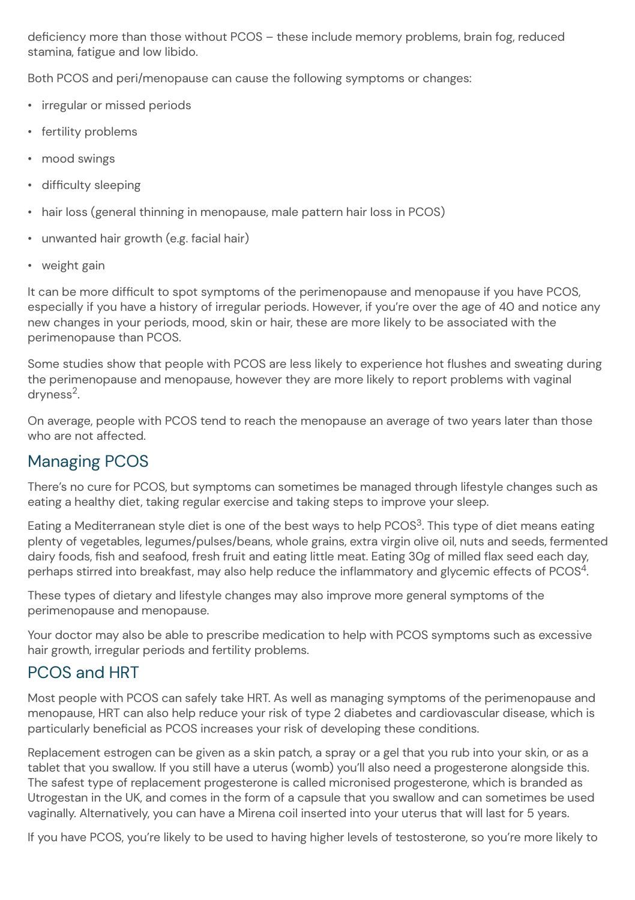deficiency more than those without PCOS – these include memory problems, brain fog, reduced stamina, fatigue and low libido.

Both PCOS and peri/menopause can cause the following symptoms or changes:

- irregular or missed periods
- fertility problems
- mood swings
- difficulty sleeping
- hair loss (general thinning in menopause, male pattern hair loss in PCOS)
- $\cdot$  unwanted hair growth (e.g. facial hair)
- weight gain

It can be more difficult to spot symptoms of the perimenopause and menopause if you have PCOS, especially if you have a history of irregular periods. However, if you're over the age of 40 and notice any new changes in your periods, mood, skin or hair, these are more likely to be associated with the perimenopause than PCOS.

Some studies show that people with PCOS are less likely to experience hot flushes and sweating during the perimenopause and menopause, however they are more likely to report problems with vaginal dryness<sup>2</sup>.

On average, people with PCOS tend to reach the menopause an average of two years later than those who are not affected.

## Managing PCOS

There's no cure for PCOS, but symptoms can sometimes be managed through lifestyle changes such as eating a healthy diet, taking regular exercise and taking steps to improve your sleep.

Eating a Mediterranean style diet is one of the best ways to help PCOS<sup>3</sup>. This type of diet means eating plenty of vegetables, legumes/pulses/beans, whole grains, extra virgin olive oil, nuts and seeds, fermented dairy foods, fish and seafood, fresh fruit and eating little meat. Eating 30g of milled flax seed each day, perhaps stirred into breakfast, may also help reduce the inflammatory and glycemic effects of PCOS<sup>4</sup>.

These types of dietary and lifestyle changes may also improve more general symptoms of the perimenopause and menopause.

Your doctor may also be able to prescribe medication to help with PCOS symptoms such as excessive hair growth, irregular periods and fertility problems.

### PCOS and HRT

Most people with PCOS can safely take HRT. As well as managing symptoms of the perimenopause and menopause, HRT can also help reduce your risk of type 2 diabetes and cardiovascular disease, which is particularly beneficial as PCOS increases your risk of developing these conditions.

Replacement estrogen can be given as a skin patch, a spray or a gel that you rub into your skin, or as a tablet that you swallow. If you still have a uterus (womb) you'll also need a progesterone alongside this. The safest type of replacement progesterone is called micronised progesterone, which is branded as Utrogestan in the UK, and comes in the form of a capsule that you swallow and can sometimes be used vaginally. Alternatively, you can have a Mirena coil inserted into your uterus that will last for 5 years.

If you have PCOS, you're likely to be used to having higher levels of testosterone, so you're more likely to